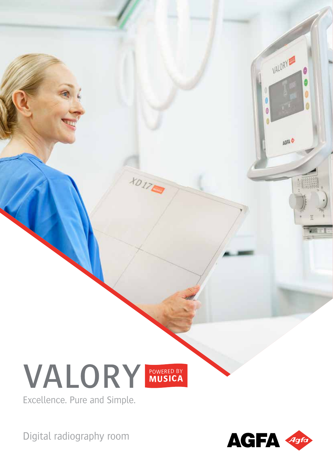# VALORY POWERED BY



**HOITE** 

Excellence. Pure and Simple.

Digital radiography room



VALORY

AGFA &

됽

Ø Ó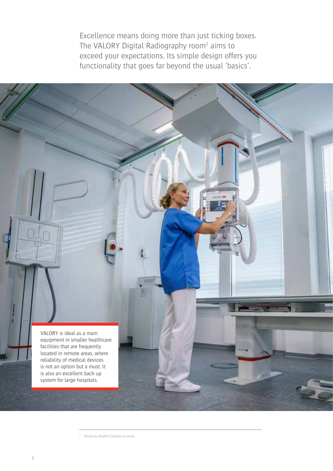Excellence means doing more than just ticking boxes. The VALORY Digital Radiography room $1$  aims to exceed your expectations. Its simple design offers you functionality that goes far beyond the usual 'basics'.



<sup>&</sup>lt;sup>1</sup> Pending Health Canada License.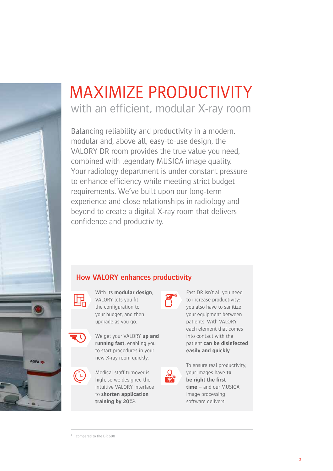

### with an efficient, modular X-ray room MAXIMIZE PRODUCTIVITY

Balancing reliability and productivity in a modern, modular and, above all, easy-to-use design, the VALORY DR room provides the true value you need, combined with legendary MUSICA image quality. Your radiology department is under constant pressure to enhance efficiency while meeting strict budget requirements. We've built upon our long-term experience and close relationships in radiology and beyond to create a digital X-ray room that delivers confidence and productivity.

#### **How VALORY enhances productivity**



With its **modular design**, VALORY lets you fit the configuration to your budget, and then upgrade as you go.



We get your VALORY **up and running fast**, enabling you to start procedures in your new X-ray room quickly.



Medical staff turnover is high, so we designed the intuitive VALORY interface to **shorten application training by 20%**<sup>2</sup> .



Fast DR isn't all you need to increase productivity: you also have to sanitize your equipment between patients. With VALORY, each element that comes into contact with the patient **can be disinfected easily and quickly**.



To ensure real productivity, your images have **to be right the first time** – and our MUSICA image processing software delivers!

<sup>2</sup> compared to the DR 600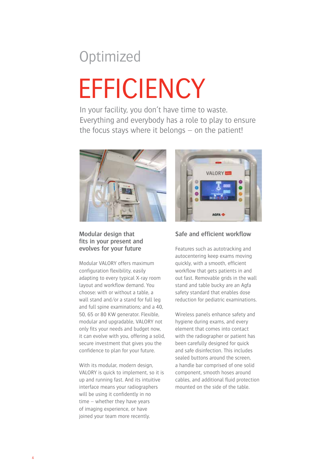## **Optimized EFFICIENCY**

In your facility, you don't have time to waste. Everything and everybody has a role to play to ensure the focus stays where it belongs – on the patient!



#### **Modular design that fits in your present and evolves for your future**

Modular VALORY offers maximum configuration flexibility, easily adapting to every typical X-ray room layout and workflow demand. You choose: with or without a table, a wall stand and/or a stand for full leg and full spine examinations; and a 40, 50, 65 or 80 KW generator. Flexible, modular and upgradable, VALORY not only fits your needs and budget now, it can evolve with you, offering a solid, secure investment that gives you the confidence to plan for your future.

With its modular, modern design, VALORY is quick to implement, so it is up and running fast. And its intuitive interface means your radiographers will be using it confidently in no time – whether they have years of imaging experience, or have joined your team more recently.



#### **Safe and efficient workflow**

Features such as autotracking and autocentering keep exams moving quickly, with a smooth, efficient workflow that gets patients in and out fast. Removable grids in the wall stand and table bucky are an Agfa safety standard that enables dose reduction for pediatric examinations.

Wireless panels enhance safety and hygiene during exams, and every element that comes into contact with the radiographer or patient has been carefully designed for quick and safe disinfection. This includes sealed buttons around the screen, a handle bar comprised of one solid component, smooth hoses around cables, and additional fluid protection mounted on the side of the table.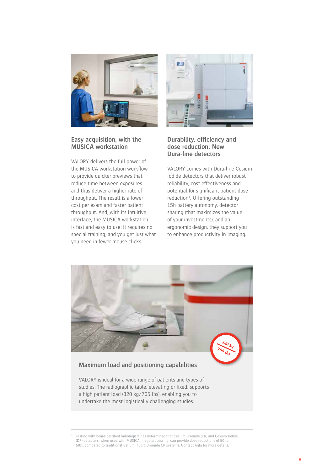

#### **Easy acquisition, with the MUSICA workstation**

VALORY delivers the full power of the MUSICA workstation workflow to provide quicker previews that reduce time between exposures and thus deliver a higher rate of throughput. The result is a lower cost per exam and faster patient throughput. And, with its intuitive interface, the MUSICA workstation is fast and easy to use: it requires no special training, and you get just what you need in fewer mouse clicks.



#### **Durability, efficiency and dose reduction: New Dura-line detectors**

VALORY comes with Dura-line Cesium Iodide detectors that deliver robust reliability, cost-effectiveness and potential for significant patient dose reduction<sup>3</sup>. Offering outstanding 15h battery autonomy, detector sharing (that maximizes the value of your investments), and an ergonomic design, they support you to enhance productivity in imaging.



<sup>3</sup> Testing with board-certified radiologists has determined that Cesium Bromide (CR) and Cesium Iodide (DR) detectors, when used with MUSICA image processing, can provide dose reductions of 50 to 60%, compared to traditional Barium Fluoro Bromide CR systems. Contact Agfa for more details.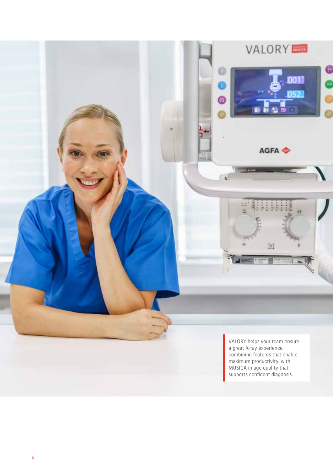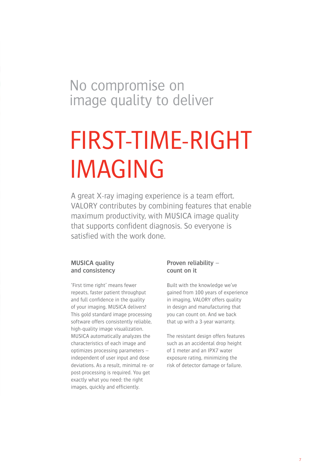### No compromise on image quality to deliver

## FIRST-TIME-RIGHT IMAGING

A great X-ray imaging experience is a team effort. VALORY contributes by combining features that enable maximum productivity, with MUSICA image quality that supports confident diagnosis. So everyone is satisfied with the work done.

#### **MUSICA quality and consistency**

'First time right' means fewer repeats, faster patient throughput and full confidence in the quality of your imaging. MUSICA delivers! This gold standard image processing software offers consistently reliable, high-quality image visualization. MUSICA automatically analyzes the characteristics of each image and optimizes processing parameters – independent of user input and dose deviations. As a result, minimal re- or post-processing is required. You get exactly what you need: the right images, quickly and efficiently.

#### **Proven reliability – count on it**

Built with the knowledge we've gained from 100 years of experience in imaging, VALORY offers quality in design and manufacturing that you can count on. And we back that up with a 3-year warranty.

The resistant design offers features such as an accidental drop height of 1 meter and an IPX7 water exposure rating, minimizing the risk of detector damage or failure.